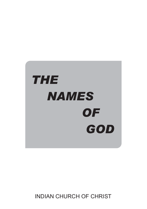

INDIAN CHURCH OF CHRIST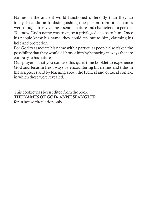Names in the ancient world functioned differently than they do today. In addition to distinguishing one person from other names were thought to reveal the essential nature and character of a person. To know God's name was to enjoy a privileged access to him. Once his people knew his name, they could cry out to him, claiming his help and protection.

For God to associate his name with a particular people also risked the possibility that they would dishonor him by behaving in ways that are contrary to his nature.

Our prayer is that you can use this quiet time booklet to experience God and Jesus in fresh ways by encountering his names and titles in the scriptures and by learning about the biblical and cultural context in which these were revealed.

This booklet has been edited from the book THE NAMES OF GOD- ANNE SPANGLER for in house circulation only.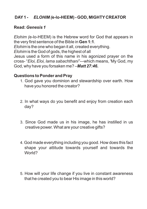# **DAY1 -** *ELOHIM (***e-lo-HEEM)** *-* **GOD, MIGHTY CREATOR**

#### **Read:** *Genesis 1*

*Elohim (*e-lo-HEEM) is the Hebrew word for God that appears in the very first sentence of the Bible in **Gen 1:1**.

*Elohim* is the one who began it all, created everything.

*Elohim* is the God of gods, the highest of all

Jesus used a form of this name in his agonized prayer on the cross- "*Eloi, Eloi, lama sabachthani"---*which means, 'My God, my God, why have you forsaken me? –*Matt 27:46.*

- 1. God gave you dominion and stewardship over earth. How have you honored the creator?
- 2. In what ways do you benefit and enjoy from creation each day?
- 3. Since God made us in his image, he has instilled in us creative power. What are your creative gifts?
- 4. God made everything including you good. How does this fact shape your attitude towards yourself and towards the World?
- 5. How will your life change if you live in constant awareness that he created you to bear His image in this world?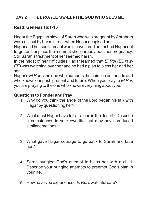# **DAY2** *EL ROI (***ELraw-EE)-THE GOD WHO SEES ME**

## **Read: Genesis 16:1-16**

Hagar the Egyptian slave of Sarah who was pregnant by Abraham was cast out by her mistress when Hagar despised her.

Hagar and her son Ishmael would have fared better had Hagar not forgotten her place the moment she learned about her pregnancy. Still Sarah's treatment of her seemed harsh.

In the midst of her difficulties Hagar learned that *El Roi (EL raw-EE)* was watching over her and he had a plan to bless her and her son.

Hagar's *El Roi* is the one who numbers the hairs on our heads and who knows our past, present and future. When you pray to *El Roi*, you are praying to the one who knows everything about you.

- 1. Why do you think the angel of the Lord began his talk with Hagar by questioning her?
- 2. What must Hagar have felt all alone in the desert? Describe circumstances in your own life that may have produced similar emotions.
- 3. What gave Hagar courage to go back to Sarah and face her?
- 4. Sarah bungled God's attempt to bless her with a child. Describe your bungled attempts to preempt God's plan in your life.
- 5. How have you experienced *El Roi's* watchful care?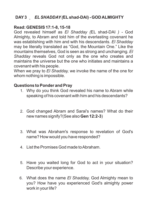# **DAY3** *ELSHADDAY(***ELshad-DAI) - GOD ALMIGHTY**

#### **Read: GENESIS 17:1-8, 15-18**

God revealed himself as *El Shadday (*EL shad-DAI *) -* God Almighty, to Abram and told him of the everlasting covenant he was establishing with him and with his descendants. *El Shadday*  may be literally translated as "God, the Mountain One." Like the mountains themselves, God is seen as strong and unchanging. *El Shadday* reveals God not only as the one who creates and maintains the universe but the one who initiates and maintains a covenant with his people.

When we pray to *El Shadday,* we invoke the name of the one for whom nothing is impossible.

- 1. Why do you think God revealed his name to Abram while speaking of his covenant with him and his descendants?
- 2. God changed Abram and Sarai's names? What do their new names signify?(See also **Gen 12:2-3**)
- 3. What was Abraham's response to revelation of God's name? How would you have responded?
- 4. List the Promises God made to Abraham.
- 5. Have you waited long for God to act in your situation? Describe your experience.
- 6. What does the name *El Shadday,* God Almighty mean to you? How have you experienced God's almighty power work in your life?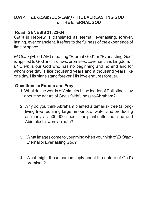## **DAY4** *ELOLAM (***ELo-LAM***) -* **THE EVERLASTING GOD or THE ETERNALGOD**

## **Read: GENESIS 21: 22-34**

*Olam* in Hebrew is translated as eternal, everlasting, forever, lasting, ever or ancient. It refers to the fullness of the experience of time or space.

*El Olam (*EL o-LAM) meaning "Eternal God" or "Everlasting God" is applied to God and his laws, promises, covenant and kingdom. *El Olam* is our God who has no beginning and no end and for whom one day is like thousand years and a thousand years like one day. His plans stand forever. His love endures forever.

- 1. What do the words of Abimelech the leader of Philistines say about the nature of God's faithfulness to Abraham?
- 2. Why do you think Abraham planted a tamarisk tree (a longliving tree requiring large amounts of water and producing as many as 500,000 seeds per plant) after both he and Abimelech swore an oath?
- 3. What images come to your mind when you think of *El Olam-*Eternal or Everlasting God?
- 4. What might these names imply about the nature of God's promises?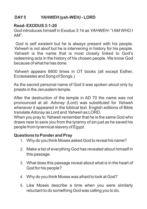# **DAY5** *YAHWEH (***yah-WEH***) -* **LORD**

#### **Read- EXODUS 3:1-20**

God introduces himself in Exodus 3:14 as *YAHWEH*- "I AM WHO I AM".

God is self existent but he is always present with his people. *Yahweh* is not aloof but he is intervening in history for his people. *Yahweh* is the name that is most closely linked to God's redeeming acts in the history of his chosen people. We know God because of what he has done.

*Yahweh* appears 6800 times in OT books (all except Esther, Ecclesiastes and Song of Songs.)

As the sacred personal name of God it was spoken aloud only by priests in the Jerusalem temple.

After the destruction of the temple in AD 70 the name was not pronounced at all. *Adonay (*Lord) was substituted for *Yahweh* whenever it appeared in the biblical text. English editions of Bible translate *Adonay* as Lord and *Yahweh* as LORD.

When you pray to *Yahweh* remember that he is the same God who draws near to save you from the tyranny of sin just as he saved his people from tyrannical slavery of Egypt.

- 1. Why do you think Moses asked God to reveal his name?
- 2. Make a list of everything God has revealed about himself in this passage.
- 3. What does this passage reveal about what is in the heart of God for his people?
- 4. Why do you think Moses was afraid to look at God?
- 5. Like Moses describe a time when you were similarly reluctant to do something God was calling you to do.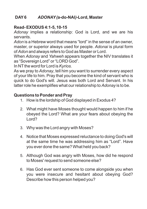# **DAY6** *ADONAY(***a-do-NAI***)-***Lord, Master**

## **Read- EXODUS 4:1-5, 10-15**

*Adonay* implies a relationship: God is Lord, and we are his servants.

*Adon* is a Hebrew word that means "lord" in the sense of an owner, master, or superior always used for people. *Adonai* is plural form of *Adon* and always refers to God as Master or Lord.

When *Adonay* and *Yahweh* appears together the NIV translates it as "Sovereign Lord" or "LORD God".

In NT the word for Lord is *Kyrios*.

As we pray to *Adonay*, tell him you want to surrender every aspect of your life to him. Pray that you become the kind of servant who is quick to do God's will. Jesus was both Lord and Servant. In his latter role he exemplifies what our relationship to *Adonay* is to be.

- 1. How is the lordship of God displayed in Exodus 4?
- 2. What might have Moses thought would happen to him if he obeyed the Lord? What are your fears about obeying the Lord?
- 3. Why was the Lord angry with Moses?
- 4. Notice that Moses expressed reluctance to doing God's will at the same time he was addressing him as "Lord". Have you ever done the same? What held you back?
- 5. Although God was angry with Moses, how did he respond to Moses' request to send someone else?
- 6. Has God ever sent someone to come alongside you when you were insecure and hesitant about obeying God? Describe how this person helped you?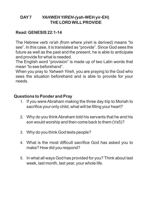## **DAY7** *YAHWEH YIREH-(***yah-WEH yir-EH) THE LORD WILLPROVIDE**

## **Read: GENESIS 22:1-14**

The Hebrew verb *ra'ah (*from where *yireh* is derived) means "to see". In this case, it is translated as "provide". Since God sees the future as well as the past and the present, he is able to anticipate and provide for what is needed.

The English word "provision" is made up of two Latin words that mean "to see beforehand".

When you pray to *Yahweh Yireh*, you are praying to the God who sees the situation beforehand and is able to provide for your needs.

- 1. If you were Abraham making the three day trip to Moriah to sacrifice your only child, what will be filling your heart?
- 2. Why do you think Abraham told his servants that he and his son would worship and then come back to them (Vs5)?
- 3. Why do you think God tests people?
- 4. What is the most difficult sacrifice God has asked you to make? How did you respond?
- 5. In what all ways God has provided for you? Think about last week, last month, last year, your whole life.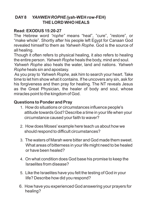# **DAY8** *YAHWEH ROPHE (***yah-WEH row-FEH) THE LORD WHO HEALS**

## **Read: EXODUS 15:20-27**

The Hebrew word *"rophe"* means "heal", "cure", "restore", or "make whole". Shortly after his people left Egypt for Canaan God revealed himself to them as *Yahweh Rophe.* God is the source of all healing.

Though it often refers to physical healing, it also refers to healing the entire person. *Yahweh Rophe* heals the body, mind and soul. *Yahweh Rophe* also heals the water, land and nations. *Yahweh Rophe* heals sin and apostasy.

As you pray to *Yahweh Rophe*, ask him to search your heart. Take time to let him show what it contains. If he uncovers any sin, ask for his forgiveness and then pray for healing. The NT reveals Jesus as the Great Physician, the healer of body and soul, whose miracles point to the kingdom of God.

- 1. How do situations or circumstances influence people's attitude towards God? Describe a time in your life when your circumstance caused your faith to waver?
- 2. How does Moses' example here teach us about how we should respond to difficult circumstances?
- 3. The waters of Marah were bitter and God made them sweet. What areas of bitterness in your life might need to be healed or have been healed?
- 4. On what condition does God base his promise to keep the Israelites from disease?
- 5. Like the Israelites have you felt the testing of God in your life? Describe how did you respond?
- 6. How have you experienced God answering your prayers for healing?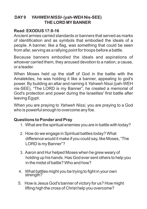# **DAY9** *YAHWEH NISSI-* **(yah-WEH Nis-SEE) THE LORD MY BANNER**

## **Read: EXODUS 17:8-16**

Ancient armies carried standards or banners that served as marks of identification and as symbols that embodied the ideals of a people. A banner, like a flag, was something that could be seen from afar, serving as a rallying point for troops before a battle.

Because banners embodied the ideals and aspirations of whoever carried them, they aroused devotion to a nation, a cause, or a leader.

When Moses held up the staff of God in the battle with the Amalekites, he was holding it like a banner, appealing to god's power. By building an altar and naming it *Yahweh Nissi (*yah-WEH nis-SEE), "The LORD is my Banner", he created a memorial of God's protection and power during the Israelites' first battle after leaving Egypt.

When you are praying to *Yahweh Nissi,* you are praying to a God who is powerful enough to overcome any foe.

- 1. What are the spiritual enemies you are in battle with today?
- 2. How do we engage in Spiritual battles today? What difference would it make if you could say, like Moses, "The LORD is my Banner"?
- 3. Aaron and Hur helped Moses when he grew weary of holding up his hands. Has God ever sent others to help you in the midst of battle? Who and how?
- 4. What battles might you be trying to fight in your own strength?
- 5. How is Jesus God's banner of victory for us? How might lifting high the cross of Christ help you overcome?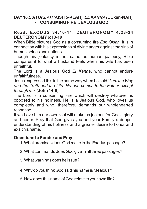# **DAY10** *ESH OKLAH (***AISH o-KLAH)***, EL KANNA(***ELkan-NAH) - CONSUMING FIRE, JEALOUS GOD**

#### **Read: EXODUS 34:10-14; DEUTERONOMY 4:23-24 DEUTERONOMY6:13-19**

When Bible pictures God as a consuming fire *Esh Oklah,* it is in connection with his expressions of divine anger against the sins of human beings and nations.

Though his jealousy is not same as human jealousy, Bible compares it to what a husband feels when his wife has been unfaithful.

The Lord is a Jealous God *El Kanna*, who cannot endure unfaithfulness.

Jesus expressed this in the same way when he said "*I am the Way and the Truth and the Life. No one comes to the Father except through me. (***John 14:6**).

The Lord is a consuming Fire which will destroy whatever is opposed to his holiness. He is a Jealous God, who loves us completely and who, therefore, demands our wholehearted response.

If we Love him our own zeal will make us jealous for God's glory and honor. Pray that God gives you and your Family a deeper understanding of his holiness and a greater desire to honor and exalt his name.

- 1. What promises does God make in the Exodus passage?
- 2. What commands does God give in all three passages?
- 3. What warnings does he issue?
- 4. Why do you think God said his name is "Jealous"?
- 5. How does this name of God relate to your own life?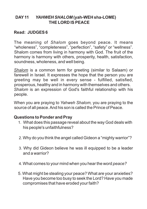## **DAY11** *YAHWEH SHALOM* **(yah-WEH sha-LOME) THE LORD IS PEACE**

## **Read: JUDGES 6**

The meaning of *Shalom* goes beyond peace. It means "wholeness", "completeness", "perfection", "safety" or "wellness". Shalom comes from living in harmony with God. The fruit of the harmony is harmony with others, prosperity, health, satisfaction. soundness, wholeness, and well being.

*Shalom* is a common term for greeting (similar to Salaam) or farewell in Israel. It expresses the hope that the person you are greeting may be well in every sense - fulfilled, satisfied, prosperous, healthy and in harmony with themselves and others. *Shalom* is an expression of God's faithful relationship with his people.

When you are praying to *Yahweh Shalom,* you are praying to the source of all peace. And his son is called the Prince of Peace.

- 1. What does this passage reveal about the way God deals with his people's unfaithfulness?
- 2. Why do you think the angel called Gideon a "mighty warrior"?
- 3. Why did Gideon believe he was ill equipped to be a leader and a warrior?
- 4. What comes to your mind when you hear the word *peace?*
- 5. What might be stealing your peace? What are your anxieties? Have you become too busy to seek the Lord? Have you made compromises that have eroded your faith?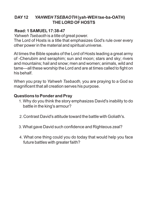# **DAY12** *YAHWEH TSEBAOTH* **(yah-WEH tse-ba-OATH) THE LORD OF HOSTS**

## **Read: 1 SAMUEL17:38-47**

*Yahweh Tsebaoth* is a title of great power.

The Lord of Hosts is a title that emphasizes God's rule over every other power in the material and spiritual universe.

At times the Bible speaks of the Lord of Hosts leading a great army of -Cherubim and seraphim; sun and moon; stars and sky; rivers and mountains; hail and snow; men and women; animals, wild and tame—all these worship the Lord and are at times called to fight on his behalf.

When you pray to *Yahweh Tsebaoth,* you are praying to a God so magnificent that all creation serves his purpose.

- 1. Why do you think the story emphasizes David's inability to do battle in the king's armour?
- 2. Contrast David's attitude toward the battle with Goliath's.
- 3. What gave David such confidence and Righteous zeal?
- 4. What one thing could you do today that would help you face future battles with greater faith?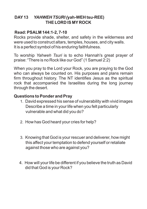# **DAY13** *YAHWEH TSURI (***yah-WEH tsu-REE) THE LORD IS MY ROCK**

## **Read: PSALM 144:1-2, 7-10**

Rocks provide shade, shelter, and safety in the wilderness and were used to construct altars, temples, houses, and city walls. It is a perfect symbol of his enduring faithfulness.

To worship *Yahweh Tsuri* is to echo Hannah's great prayer of praise: "There is no Rock like our God" (1 Samuel 2:2)

When you pray to the Lord your Rock, you are praying to the God who can always be counted on. His purposes and plans remain firm throughout history. The NT identifies Jesus as the spiritual rock that accompanied the Israelites during the long journey through the desert.

- 1. David expressed his sense of vulnerability with vivid images Describe a time in your life when you felt particularly vulnerable and what did you do?
- 2. How has God heard your cries for help?
- 3. Knowing that God is your rescuer and deliverer, how might this affect your temptation to defend yourself or retaliate against those who are against you?
- 4. How will your life be different if you believe the truth as David did that God is your Rock?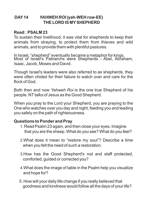## **DAY14** *YAHWEH ROI (***yah-WEH row-EE) THE LORD IS MYSHEPHERD**

#### **Read: PSALM 23**

To sustain their livelihood, it was vital for shepherds to keep their animals from straying, to protect them from thieves and wild animals, and to provide them with plentiful pastures.

In Israel, "shepherd" eventually became a metaphor for kings. Most of Israel's Patriarchs were Shepherds - Abel, Abraham, Isaac, Jacob, Moses and David.

Though Israel's leaders were also referred to as shepherds, they were often chided for their failure to watch over and care for the flock of God.

Both then and now *Yahweh Roi* is the one true Shepherd of his people. NT talks of Jesus as the Good Shepherd.

When you pray to the Lord your Shepherd, you are praying to the One who watches over you day and night, feeding you and leading you safely on the path of righteousness.

- 1. Read Psalm 23 again, and then close your eyes. Imagine that you are the sheep. What do you see? What do you feel?
- 2.What does it mean to "restore my soul"? Describe a time when you felt the need of such a restoration.
- 3.How has the Good Shepherd's rod and staff protected, comforted, guided or corrected you?
- 4.What does the image of table in the Psalm help you visualize and hope for?
- 5. How will your daily life change if you really believed that goodness and kindness would follow all the days of your life?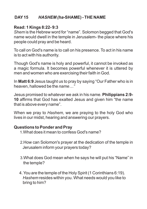# **DAY15** *HASHEM (ha***-SHAME) - THE NAME**

#### **Read: 1 Kings 8:22- 9:3**

*Shem* is the Hebrew word for "name". Solomon begged that God's name would dwell in the temple in Jerusalem- the place where his people could pray and be heard.

To call on God's name is to call on his presence. To act in his name is to act with his authority.

Though God's name is holy and powerful, it cannot be invoked as a magic formula. It becomes powerful whenever it is uttered by men and women who are exercising their faith in God.

In **Matt 6:9** Jesus taught us to pray by saying "Our Father who is in heaven, hallowed be the *name…"*

Jesus promised to whatever we ask in his name. **Philippians 2:9- 10** affirms that God has exalted Jesus and given him "the name that is above every name".

When we pray to *Hashem,* we are praying to the holy God who lives in our midst, hearing and answering our prayers.

- 1.What does it mean to confess God's name?
- 2.How can Solomon's prayer at the dedication of the temple in Jerusalem inform your prayers today?
- 3.What does God mean when he says he will put his "Name" in the temple?
- 4. You are the temple of the Holy Spirit (1 Corinthians 6:19). *Hashem* resides within you. What needs would you like to bring to him?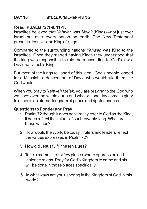# **DAY16** *MELEK (***ME-lek)-KING**

#### **Read: PSALM 72:1-8, 11-15**

Israelites believed that *Yahweh* was *Melek* (King) ---not just over Israel but over every nation on earth. The New Testament presents Jesus as the King of kings.

Compared to the surrounding nations *Yahweh* was King to the Israelites. Once they started having Kings they understood that the king was responsible to rule them according to God's laws. David was such a King.

But most of the kings fell short of this ideal. God's people longed for a Messiah, a descendant of David who would rule them like God would.

When you pray to *Yahweh Melek,* you are praying to the God who watches over the whole earth and who will one day come in glory to usher in an eternal kingdom of peace and righteousness.

- 1. Psalm 72 though it does not directly refer to God as the King, it does reflect the values of our heavenly King. What are these values?
- 2. How would the World be today if rulers and leaders reflect the values expressed in Psalm 72?
- 3. How did Jesus fulfill these values?
- 4. Take a moment to list few places where oppression and violence reigns. Pray for God's Kingdom to come and his will be done in those places specifically.
- 5. In what ways are you ushering in the Kingdom of God in this world?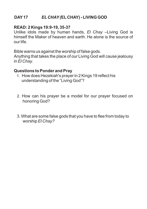## **DAY17** *EL CHAY(***EL CHAY) - LIVING GOD**

#### **READ: 2 Kings 19:9-19, 35-37**

Unlike idols made by human hands, *El Chay* –Living God is himself the Maker of heaven and earth. He alone is the source of our life.

Bible warns us against the worship of false gods.

Anything that takes the place of our Living God will cause jealousy in *El Chay.*

- 1. How does Hezekiah's prayer in 2 Kings 19 reflect his understanding of the "Living God"?
- 2. How can his prayer be a model for our prayer focused on honoring God?
- 3. What are some false gods that you have to flee from today to worship *El Chay?*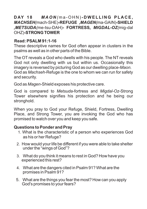## **D AY 1 8** *M A O N (* m a - O H N )**- D W EL L I N G PL A C E,** *MACHSEH(*mach-SHE)**-REFUGE** *,MAGEN(*ma-GAIN)**-SHIELD**  *,METSUDA(*me-tsu-DAH)**- FORTRESS***, MIGDAL-OZ(*mig-dal OHZ)**-STRONG TOWER**

## **Read: PSALM 91:1-16**

These descriptive names for God often appear in clusters in the psalms as well as in other parts of the Bible.

The OT reveals a God who dwells with his people. The NT reveals God not only dwelling with us but within us. Occasionally this imagery is reversed by picturing God as our dwelling place-*Maon.* God as *Machseh-*Refuge is the one to whom we can run for safety and security.

God as *Magen-*Shield exposes his protective care.

God is compared to *Metsuda-*fortress and *Migdal-Oz-*Strong Tower elsewhere signifies his protection and he being our stronghold.

When you pray to God your Refuge, Shield, Fortress, Dwelling Place, and Strong Tower, you are invoking the God who has promised to watch over you and keep you safe.

- 1. What is the characteristic of a person who experiences God as his or her Refuge?
- 2. How would your life be different if you were able to take shelter under the "wings of God"?
- 3. What do you think it means to rest in God? How have you experienced this rest?
- 4. What are the dangers cited in Psalm 91? What are the promises in Psalm 91?
- 5. What are the things you fear the most? How can you apply God's promises to your fears?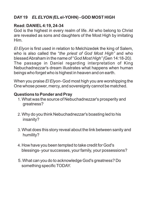# **DAY19** *ELELYON (***ELel-YOHN) - GOD MOST HIGH**

## **Read: DANIEL4:19, 24-34**

God is the highest in every realm of life. All who belong to Christ are revealed as sons and daughters of the Most High by imitating Him.

*El Elyon* is first used in relation to Melchizedek the king of Salem, who is also called the "*the priest of God Most High"* and who blessed Abraham in the name of "*God Most High" (*Gen 14:18-20*).* The passage in Daniel regarding interpretation of King Nebuchadnezzar's dream illustrates what happens when human beings who forget who is highest in heaven and on earth.

When you praise *El Elyon-* God most high you are worshipping the One whose power, mercy, and sovereignty cannot be matched.

- 1. What was the source of Nebuchadnezzar's prosperity and greatness?
- 2. Why do you think Nebuchadnezzar's boasting led to his insanity?
- 3. What does this story reveal about the link between sanity and humility?
- 4. How have you been tempted to take credit for God's blessings- your successes, your family, your possessions?
- 5. What can you do to acknowledge God's greatness? Do something specific TODAY.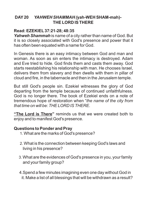# **DAY20** *YAHWEH SHAMMAH (***yah-WEH SHAM-mah)- THE LORD IS THERE**

## **Read: EZEKIEL37:21-28; 48:35**

*Yahweh Shammah* is name of a city rather than name of God. But it is so closely associated with God's presence and power that it has often been equated with a name for God.

In Genesis there is an easy intimacy between God and man and woman. As soon as sin enters the intimacy is destroyed. Adam and Eve tried to hide. God finds them and casts them away. God starts reestablishing his relationship with man. He chooses Israel, delivers them from slavery and then dwells with them in pillar of cloud and fire, in the tabernacle and then in the Jerusalem temple.

But still God's people sin. Ezekiel witnesses the glory of God departing from the temple because of continued unfaithfulness. God is no longer there. The book of Ezekiel ends on a note of tremendous hope of restoration when "*the name of the city from that time on will be: THE LORD IS THERE.*

**"The Lord is There"** reminds us that we were created both to enjoy and to manifest God's presence.

- 1. What are the marks of God's presence?
- 2. What is the connection between keeping God's laws and living in his presence?
- 3. What are the evidences of God's presence in you, your family and your family group?
- 4.Spend a few minutes imagining even one day without God in it. Make a list of all blessings that will be withdrawn as a result?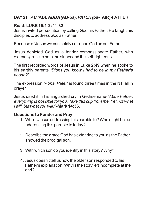# **DAY21** *AB (***AB)***, ABBA(***AB-ba)***, PATER (***pa-TAIR)-FATHER**

## **Read: LUKE 15:1-2; 11-32**

Jesus invited persecution by calling God his Father. He taught his disciples to address God as Father.

Because of Jesus we can boldly call upon God as our Father.

Jesus depicted God as a tender compassionate Father, who extends grace to both the sinner and the self-righteous.

The first recorded words of Jesus in **Luke 2:49** when he spoke to his earthly parents *"Didn't you know I had to be in my Father's house?"*

The expression *"Abba, Pater"* is found three times in the NT, all in prayer.

Jesus used it in his anguished cry in Gethsemane-*"Abba Father, everything is possible for you. Take this cup from me. Yet not what I will, but what you will." -***Mark 14:36**.

- 1. Who is Jesus addressing this parable to? Who might he be addressing this parable to today?
- 2. Describe the grace God has extended to you as the Father showed the prodigal son.
- 3. With which son do you identify in this story? Why?
- 4. Jesus doesn't tell us how the older son responded to his Father's explanation. Why is the story left incomplete at the end?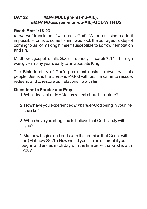# **DAY22** *IMMANUEL(***im-ma-nu-AIL),**  *EMMANOUEL(***em-man-ou-AIL)-GOD WITH US**

## **Read: Matt 1:18-23**

*Immanuel* translates – "with us is God". When our sins made it impossible for us to come to him, God took the outrageous step of coming to us, of making himself susceptible to sorrow, temptation and sin.

Matthew's gospel recalls God's prophecy in **Isaiah 7:14**. This sign was given many years early to an apostate King.

The Bible is story of God's persistent desire to dwell with his people. Jesus is the *Immanuel*-God with us. He came to rescue, redeem, and to restore our relationship with him.

- 1. What does this title of Jesus reveal about his nature?
- 2. How have you experienced *Immanuel-*God being in your life thus far?
- 3. When have you struggled to believe that God is truly with you?
- 4. Matthew begins and ends with the promise that God is with us (Matthew 28:20).How would your life be different if you began and ended each day with the firm belief that God is with you?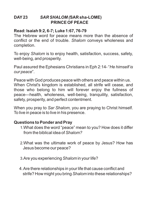## **DAY23** *SAR SHALOM (***SAR sha-LOME) PRINCE OF PEACE**

## **Read: Isaiah 9:2, 6-7; Luke 1:67, 76-79**

The Hebrew word for peace means more than the absence of conflict or the end of trouble. *Shalom* conveys wholeness and completion.

To enjoy *Shalom* is to enjoy health, satisfaction, success, safety, well-being, and prosperity.

Paul assured the Ephesians Christians in Eph 2:14- "*He himself is our peace*".

Peace with God produces peace with others and peace within us. When Christ's kingdom is established, all strife will cease, and those who belong to him will forever enjoy the fullness of peace—health, wholeness, well-being, tranquility, satisfaction, safety, prosperity, and perfect contentment.

When you pray to *Sar Shalom,* you are praying to Christ himself. To live in peace is to live in his presence.

- 1.What does the word "peace" mean to you? How does it differ from the biblical idea of *Shalom?*
- 2.What was the ultimate work of peace by Jesus? How has Jesus become our peace?
- 3.Are you experiencing *Shalom* in your life?
- 4. Are there relationships in your life that cause conflict and strife? How might you bring *Shalom* into these relationships?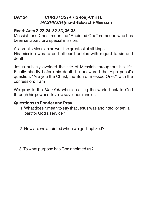## **DAY24** *CHRISTOS (***KRIS-tos)-Christ,**  *MASHIACH (***ma-SHEE-ach)-Messiah**

#### **Read: Acts 2:22-24, 32-33, 36-38**

Messiah and Christ mean the "Anointed One"-someone who has been set apart for a special mission.

As Israel's Messiah he was the greatest of all kings.

His mission was to end all our troubles with regard to sin and death.

Jesus publicly avoided the title of Messiah throughout his life. Finally shortly before his death he answered the High priest's question: "Are you the Christ, the Son of Blessed One?" with the confession: "I am".

We pray to the *Messiah* who is calling the world back to God through his power of love to save them and us.

- 1. What does it mean to say that Jesus was anointed, or set a part for God's service?
- 2. How are we anointed when we get baptized?
- 3. To what purpose has God anointed us?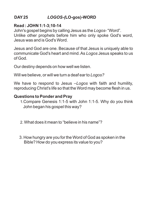# **DAY25** *LOGOS-(***LO-gos)-WORD**

#### **Read : JOHN 1:1-3;10-14**

John's gospel begins by calling Jesus as the *Logos*- "Word".

Unlike other prophets before him who only spoke God's word, Jesus was and is God's Word.

Jesus and God are one. Because of that Jesus is uniquely able to communicate God's heart and mind. As *Logos* Jesus speaks to us of God.

Our destiny depends on how well we listen.

Will we believe, or will we turn a deaf ear to *Logos?*

We have to respond to Jesus –*Logos* with faith and humility, reproducing Christ's life so that the Word may become flesh in us.

- 1.Compare Genesis 1:1-5 with John 1:1-5. Why do you think John began his gospel this way?
- 2. What does it mean to "believe in his name"?
- 3. How hungry are you for the Word of God as spoken in the Bible? How do you express its value to you?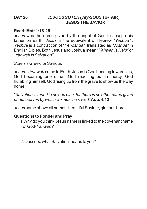#### **DAY26** *IESOUS SOTER (yay***-SOUS so-TAIR) JESUS THE SAVIOR**

#### **Read: Matt 1:18-25**

*Jesus* was the name given by the angel of God to Joseph his father on earth. *Jesus* is the equivalent of Hebrew "*Yeshua"". Yeshua* is a contraction of "*Yehoshua",* translated as *"Joshua"* in English Bibles. Both Jesus and Joshua mean "*Yahweh is Help"* or "*Yahweh is Salvation".*

*Soteri* is Greek for Saviour.

*Jesus* is *Yahweh* come to Earth. Jesus is God bending towards us, God becoming one of us, God reaching out in mercy, God humbling himself, God rising up from the grave to show us the way home.

*"Salvation is found in no one else, for there is no other name given under heaven by which we must be saved"* **Acts 4:12**

*Jesus* name above all names, beautiful Saviour, glorious Lord.

#### **Questions to Ponder and Pray**

1.Why do you think Jesus name is linked to the covenant name of God-*Yahweh?*

2. Describe what Salvation means to you?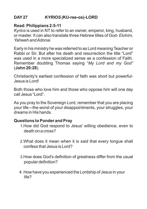# **DAY27** *KYRIOS (***KU-ree-os)-LORD**

## **Read: Philippians 2:5-11**

*Kyrios* is used in NT to refer to an owner, emperor, king, husband, or master. It can also translate three Hebrew titles of God- *Elohim, Yahweh and Adonai.*

Early in his ministry he was referred to as Lord meaning Teacher or Rabbi or Sir. But after his death and resurrection the title "Lord" was used in a more specialized sense as a confession of Faith. Remember doubting Thomas saying "*My Lord and my God"* (**John 20:28**).

Christianity's earliest confession of faith was short but powerful-Jesus is Lord!

Both those who love him and those who oppose him will one day call Jesus "Lord".

As you pray to the Sovereign Lord, remember that you are placing your life—the worst of your disappointments, your struggles, your dreams in His hands.

- 1.How did God respond to Jesus' willing obedience, even to death on a cross?
- 2.What does it mean when it is said that every tongue shall confess that Jesus is Lord?
- 3.How does God's definition of greatness differ from the usual popular definition?
- 4. How have you experienced the Lordship of Jesus in your life?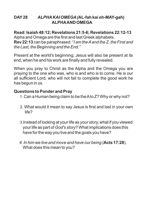## **DAY28** *ALPHAKAI OMEGA(***AL-fah kai oh-MAY-gah) ALPHAAND OMEGA**

**Read: Isaiah 48:12; Revelations 21:5-6; Revelations 22:12-13** Alpha and Omega are the first and last Greek alphabets. **Rev 22:13** can be paraphrased: "*I am the Aand the Z, the First and the Last, the Beginning and the End."*

Present at the world's beginning; Jesus will also be present at its end, when he and his work are finally and fully revealed.

When you pray to Christ as the Alpha and the Omega you are praying to the one who was, who is and who is to come. He is our all sufficient Lord, who will not fail to complete the good work he has begun in us.

- 1. Can a Human being claim to be the Ato Z? Why or why not?
- 2. What would it mean to say Jesus is first and last in your own life?
- 3.Instead of looking at your life as *your story,* what if you viewed your life as part of *God's story*? What implications does this have for the way you live and the goals you have?
- *4. In him we live and move and have our being (***Acts 17:28**). What does this mean to you?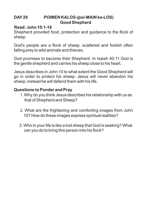## **DAY29** *POIMEN KALOS-(***poi-MAIN ka-LOS) Good Shepherd**

## **Read: John 10:1-18**

Shepherd provided food, protection and guidance to the flock of sheep.

God's people are a flock of sheep, scattered and foolish often falling prey to wild animals and thieves.

God promises to become their Shepherd. In Isaiah 40:11 God is the gentle shepherd and carries his sheep close to his heart.

Jesus describes in John 10 to what extent the Good Shepherd will go in order to protect his sheep. Jesus will never abandon his sheep; instead he will defend them with his life.

- 1. Why do you think Jesus describes his relationship with us as that of Shepherd and Sheep?
- 2. What are the frightening and comforting images from John 10? How do these images express spiritual realities?
- 3. Who in your life is like a lost sheep that God is seeking? What can you do to bring this person into his flock?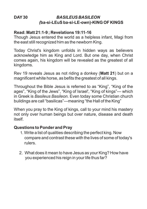## **DAY30** *BASILEUS BASILEON (***ba-si-LEuS ba-si-LE-own)-KING OF KINGS**

## **Read: Matt 21:1-9 ; Revelations 19:11-16**

Though Jesus entered the world as a helpless infant, Magi from the east still recognized him as the newborn King.

Today Christ's kingdom unfolds in hidden ways as believers acknowledge him as King and Lord. But one day, when Christ comes again, his kingdom will be revealed as the greatest of all kingdoms.

Rev 19 reveals Jesus as not riding a donkey (**Matt 21**) but on a magnificent white horse, as befits the greatest of all kings.

Throughout the Bible Jesus is referred to as "King", "King of the ages", "King of the Jews", "King of Israel', "King of kings"— which in Greek is *Basileus Basileon.* Even today some Christian church buildings are call "basilicas"—meaning "the Hall of the King"

When you pray to the King of kings, call to your mind his mastery not only over human beings but over nature, disease and death itself.

- 1. Write a list of qualities describing the perfect king. Now compare and contrast these with the lives of some of today's rulers.
- 2. What does it mean to have Jesus as your King? How have you experienced his reign in your life thus far?